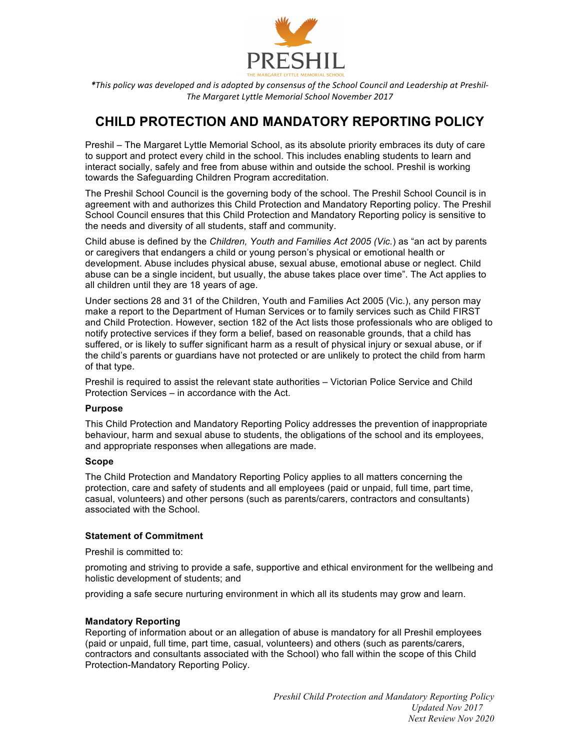

\**This* policy was developed and is adopted by consensus of the School Council and Leadership at Preshil-*The Margaret Lyttle Memorial School November 2017*

# **CHILD PROTECTION AND MANDATORY REPORTING POLICY**

Preshil – The Margaret Lyttle Memorial School, as its absolute priority embraces its duty of care to support and protect every child in the school. This includes enabling students to learn and interact socially, safely and free from abuse within and outside the school. Preshil is working towards the Safeguarding Children Program accreditation.

The Preshil School Council is the governing body of the school. The Preshil School Council is in agreement with and authorizes this Child Protection and Mandatory Reporting policy. The Preshil School Council ensures that this Child Protection and Mandatory Reporting policy is sensitive to the needs and diversity of all students, staff and community.

Child abuse is defined by the *Children, Youth and Families Act 2005 (Vic.*) as "an act by parents or caregivers that endangers a child or young person's physical or emotional health or development. Abuse includes physical abuse, sexual abuse, emotional abuse or neglect. Child abuse can be a single incident, but usually, the abuse takes place over time". The Act applies to all children until they are 18 years of age.

Under sections 28 and 31 of the Children, Youth and Families Act 2005 (Vic.), any person may make a report to the Department of Human Services or to family services such as Child FIRST and Child Protection. However, section 182 of the Act lists those professionals who are obliged to notify protective services if they form a belief, based on reasonable grounds, that a child has suffered, or is likely to suffer significant harm as a result of physical injury or sexual abuse, or if the child's parents or guardians have not protected or are unlikely to protect the child from harm of that type.

Preshil is required to assist the relevant state authorities – Victorian Police Service and Child Protection Services – in accordance with the Act.

#### **Purpose**

This Child Protection and Mandatory Reporting Policy addresses the prevention of inappropriate behaviour, harm and sexual abuse to students, the obligations of the school and its employees, and appropriate responses when allegations are made.

#### **Scope**

The Child Protection and Mandatory Reporting Policy applies to all matters concerning the protection, care and safety of students and all employees (paid or unpaid, full time, part time, casual, volunteers) and other persons (such as parents/carers, contractors and consultants) associated with the School.

#### **Statement of Commitment**

Preshil is committed to:

promoting and striving to provide a safe, supportive and ethical environment for the wellbeing and holistic development of students; and

providing a safe secure nurturing environment in which all its students may grow and learn.

#### **Mandatory Reporting**

Reporting of information about or an allegation of abuse is mandatory for all Preshil employees (paid or unpaid, full time, part time, casual, volunteers) and others (such as parents/carers, contractors and consultants associated with the School) who fall within the scope of this Child Protection-Mandatory Reporting Policy.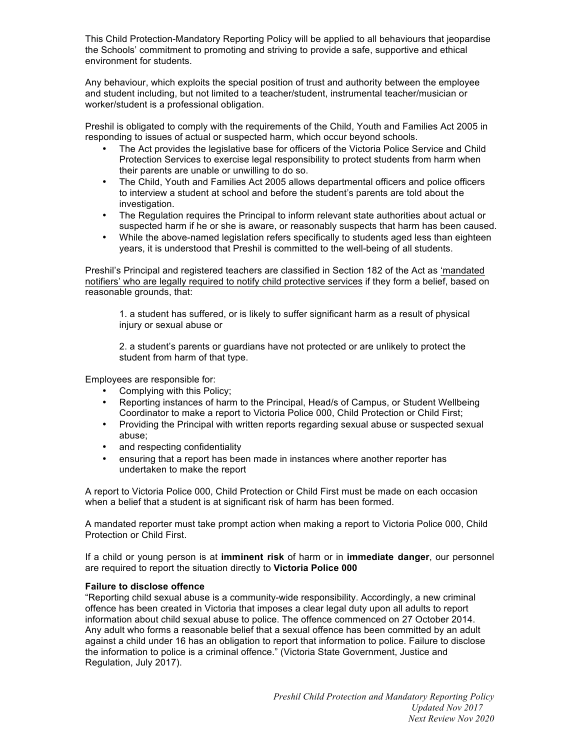This Child Protection-Mandatory Reporting Policy will be applied to all behaviours that jeopardise the Schools' commitment to promoting and striving to provide a safe, supportive and ethical environment for students.

Any behaviour, which exploits the special position of trust and authority between the employee and student including, but not limited to a teacher/student, instrumental teacher/musician or worker/student is a professional obligation.

Preshil is obligated to comply with the requirements of the Child, Youth and Families Act 2005 in responding to issues of actual or suspected harm, which occur beyond schools.

- The Act provides the legislative base for officers of the Victoria Police Service and Child Protection Services to exercise legal responsibility to protect students from harm when their parents are unable or unwilling to do so.
- The Child, Youth and Families Act 2005 allows departmental officers and police officers to interview a student at school and before the student's parents are told about the investigation.
- The Regulation requires the Principal to inform relevant state authorities about actual or suspected harm if he or she is aware, or reasonably suspects that harm has been caused.
- While the above-named legislation refers specifically to students aged less than eighteen years, it is understood that Preshil is committed to the well-being of all students.

Preshil's Principal and registered teachers are classified in Section 182 of the Act as 'mandated notifiers' who are legally required to notify child protective services if they form a belief, based on reasonable grounds, that:

1. a student has suffered, or is likely to suffer significant harm as a result of physical injury or sexual abuse or

2. a student's parents or guardians have not protected or are unlikely to protect the student from harm of that type.

Employees are responsible for:

- Complying with this Policy;
- Reporting instances of harm to the Principal, Head/s of Campus, or Student Wellbeing Coordinator to make a report to Victoria Police 000, Child Protection or Child First;
- Providing the Principal with written reports regarding sexual abuse or suspected sexual abuse;
- and respecting confidentiality
- ensuring that a report has been made in instances where another reporter has undertaken to make the report

A report to Victoria Police 000, Child Protection or Child First must be made on each occasion when a belief that a student is at significant risk of harm has been formed.

A mandated reporter must take prompt action when making a report to Victoria Police 000, Child Protection or Child First.

If a child or young person is at **imminent risk** of harm or in **immediate danger**, our personnel are required to report the situation directly to **Victoria Police 000**

#### **Failure to disclose offence**

"Reporting child sexual abuse is a community-wide responsibility. Accordingly, a new criminal offence has been created in Victoria that imposes a clear legal duty upon all adults to report information about child sexual abuse to police. The offence commenced on 27 October 2014. Any adult who forms a reasonable belief that a sexual offence has been committed by an adult against a child under 16 has an obligation to report that information to police. Failure to disclose the information to police is a criminal offence." (Victoria State Government, Justice and Regulation, July 2017).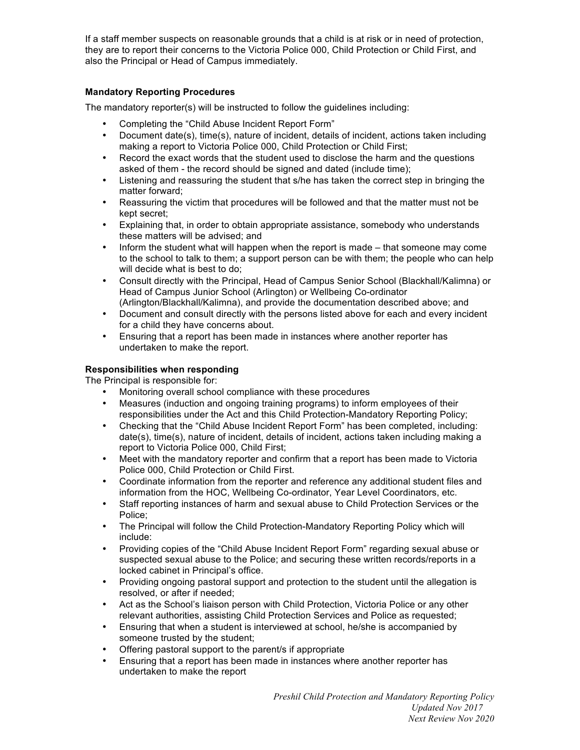If a staff member suspects on reasonable grounds that a child is at risk or in need of protection, they are to report their concerns to the Victoria Police 000, Child Protection or Child First, and also the Principal or Head of Campus immediately.

# **Mandatory Reporting Procedures**

The mandatory reporter(s) will be instructed to follow the guidelines including:

- Completing the "Child Abuse Incident Report Form"
- Document date(s), time(s), nature of incident, details of incident, actions taken including making a report to Victoria Police 000, Child Protection or Child First;
- Record the exact words that the student used to disclose the harm and the questions asked of them - the record should be signed and dated (include time);
- Listening and reassuring the student that s/he has taken the correct step in bringing the matter forward;
- Reassuring the victim that procedures will be followed and that the matter must not be kept secret;
- Explaining that, in order to obtain appropriate assistance, somebody who understands these matters will be advised; and
- Inform the student what will happen when the report is made that someone may come to the school to talk to them; a support person can be with them; the people who can help will decide what is best to do;
- Consult directly with the Principal, Head of Campus Senior School (Blackhall/Kalimna) or Head of Campus Junior School (Arlington) or Wellbeing Co-ordinator (Arlington/Blackhall/Kalimna), and provide the documentation described above; and
- Document and consult directly with the persons listed above for each and every incident for a child they have concerns about.
- Ensuring that a report has been made in instances where another reporter has undertaken to make the report.

# **Responsibilities when responding**

The Principal is responsible for:

- Monitoring overall school compliance with these procedures
- Measures (induction and ongoing training programs) to inform employees of their responsibilities under the Act and this Child Protection-Mandatory Reporting Policy;
- Checking that the "Child Abuse Incident Report Form" has been completed, including: date(s), time(s), nature of incident, details of incident, actions taken including making a report to Victoria Police 000, Child First;
- Meet with the mandatory reporter and confirm that a report has been made to Victoria Police 000, Child Protection or Child First.
- Coordinate information from the reporter and reference any additional student files and information from the HOC, Wellbeing Co-ordinator, Year Level Coordinators, etc.
- Staff reporting instances of harm and sexual abuse to Child Protection Services or the Police;
- The Principal will follow the Child Protection-Mandatory Reporting Policy which will include:
- Providing copies of the "Child Abuse Incident Report Form" regarding sexual abuse or suspected sexual abuse to the Police; and securing these written records/reports in a locked cabinet in Principal's office.
- Providing ongoing pastoral support and protection to the student until the allegation is resolved, or after if needed;
- Act as the School's liaison person with Child Protection, Victoria Police or any other relevant authorities, assisting Child Protection Services and Police as requested;
- Ensuring that when a student is interviewed at school, he/she is accompanied by someone trusted by the student;
- Offering pastoral support to the parent/s if appropriate
- Ensuring that a report has been made in instances where another reporter has undertaken to make the report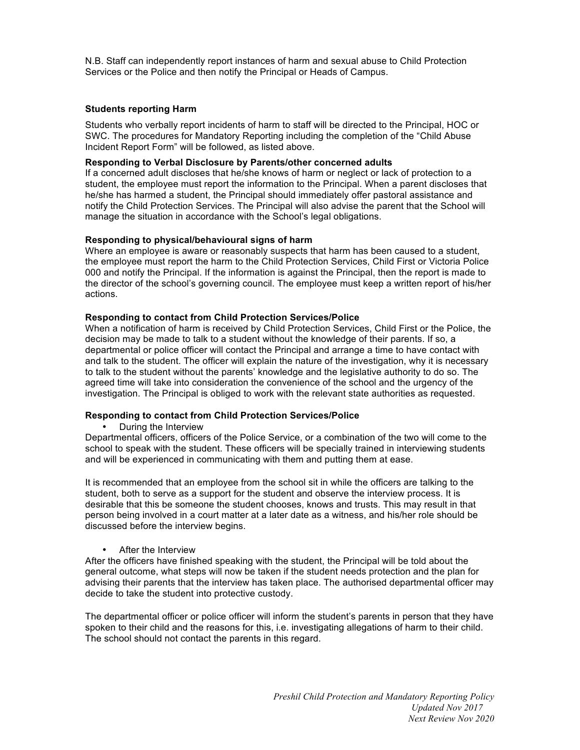N.B. Staff can independently report instances of harm and sexual abuse to Child Protection Services or the Police and then notify the Principal or Heads of Campus.

#### **Students reporting Harm**

Students who verbally report incidents of harm to staff will be directed to the Principal, HOC or SWC. The procedures for Mandatory Reporting including the completion of the "Child Abuse Incident Report Form" will be followed, as listed above.

## **Responding to Verbal Disclosure by Parents/other concerned adults**

If a concerned adult discloses that he/she knows of harm or neglect or lack of protection to a student, the employee must report the information to the Principal. When a parent discloses that he/she has harmed a student, the Principal should immediately offer pastoral assistance and notify the Child Protection Services. The Principal will also advise the parent that the School will manage the situation in accordance with the School's legal obligations.

## **Responding to physical/behavioural signs of harm**

Where an employee is aware or reasonably suspects that harm has been caused to a student, the employee must report the harm to the Child Protection Services, Child First or Victoria Police 000 and notify the Principal. If the information is against the Principal, then the report is made to the director of the school's governing council. The employee must keep a written report of his/her actions.

## **Responding to contact from Child Protection Services/Police**

When a notification of harm is received by Child Protection Services, Child First or the Police, the decision may be made to talk to a student without the knowledge of their parents. If so, a departmental or police officer will contact the Principal and arrange a time to have contact with and talk to the student. The officer will explain the nature of the investigation, why it is necessary to talk to the student without the parents' knowledge and the legislative authority to do so. The agreed time will take into consideration the convenience of the school and the urgency of the investigation. The Principal is obliged to work with the relevant state authorities as requested.

#### **Responding to contact from Child Protection Services/Police**

• During the Interview

Departmental officers, officers of the Police Service, or a combination of the two will come to the school to speak with the student. These officers will be specially trained in interviewing students and will be experienced in communicating with them and putting them at ease.

It is recommended that an employee from the school sit in while the officers are talking to the student, both to serve as a support for the student and observe the interview process. It is desirable that this be someone the student chooses, knows and trusts. This may result in that person being involved in a court matter at a later date as a witness, and his/her role should be discussed before the interview begins.

#### • After the Interview

After the officers have finished speaking with the student, the Principal will be told about the general outcome, what steps will now be taken if the student needs protection and the plan for advising their parents that the interview has taken place. The authorised departmental officer may decide to take the student into protective custody.

The departmental officer or police officer will inform the student's parents in person that they have spoken to their child and the reasons for this, i.e. investigating allegations of harm to their child. The school should not contact the parents in this regard.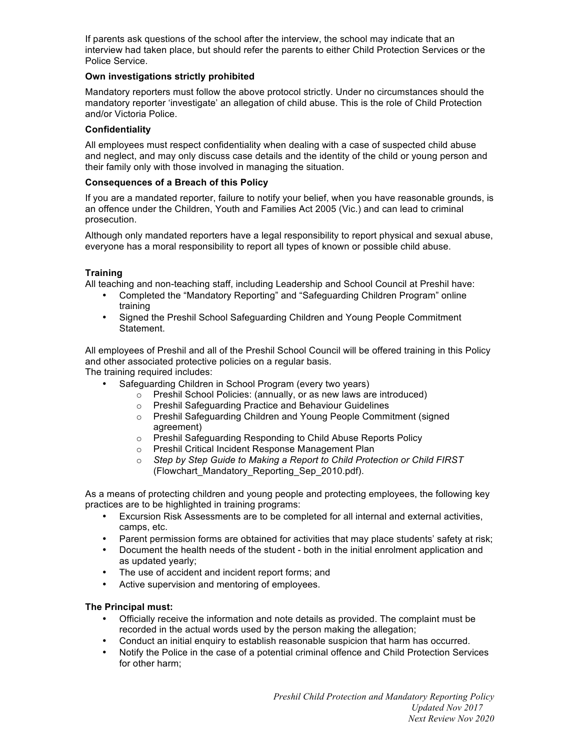If parents ask questions of the school after the interview, the school may indicate that an interview had taken place, but should refer the parents to either Child Protection Services or the Police Service.

## **Own investigations strictly prohibited**

Mandatory reporters must follow the above protocol strictly. Under no circumstances should the mandatory reporter 'investigate' an allegation of child abuse. This is the role of Child Protection and/or Victoria Police.

#### **Confidentiality**

All employees must respect confidentiality when dealing with a case of suspected child abuse and neglect, and may only discuss case details and the identity of the child or young person and their family only with those involved in managing the situation.

## **Consequences of a Breach of this Policy**

If you are a mandated reporter, failure to notify your belief, when you have reasonable grounds, is an offence under the Children, Youth and Families Act 2005 (Vic.) and can lead to criminal prosecution.

Although only mandated reporters have a legal responsibility to report physical and sexual abuse, everyone has a moral responsibility to report all types of known or possible child abuse.

## **Training**

All teaching and non-teaching staff, including Leadership and School Council at Preshil have:

- Completed the "Mandatory Reporting" and "Safeguarding Children Program" online training
- Signed the Preshil School Safeguarding Children and Young People Commitment Statement.

All employees of Preshil and all of the Preshil School Council will be offered training in this Policy and other associated protective policies on a regular basis.

The training required includes:

- Safeguarding Children in School Program (every two years)
	- o Preshil School Policies: (annually, or as new laws are introduced)
	- o Preshil Safeguarding Practice and Behaviour Guidelines
	- o Preshil Safeguarding Children and Young People Commitment (signed agreement)
	- o Preshil Safeguarding Responding to Child Abuse Reports Policy
	- o Preshil Critical Incident Response Management Plan
	- o *Step by Step Guide to Making a Report to Child Protection or Child FIRST* (Flowchart\_Mandatory\_Reporting\_Sep\_2010.pdf).

As a means of protecting children and young people and protecting employees, the following key practices are to be highlighted in training programs:

- Excursion Risk Assessments are to be completed for all internal and external activities, camps, etc.
- Parent permission forms are obtained for activities that may place students' safety at risk;
- Document the health needs of the student both in the initial enrolment application and as updated yearly;
- The use of accident and incident report forms; and
- Active supervision and mentoring of employees.

#### **The Principal must:**

- Officially receive the information and note details as provided. The complaint must be recorded in the actual words used by the person making the allegation;
- Conduct an initial enquiry to establish reasonable suspicion that harm has occurred.
- Notify the Police in the case of a potential criminal offence and Child Protection Services for other harm;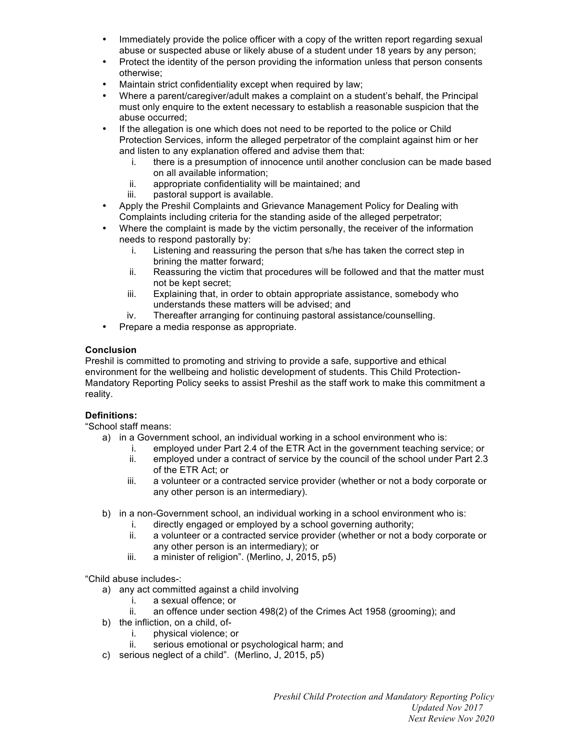- Immediately provide the police officer with a copy of the written report regarding sexual abuse or suspected abuse or likely abuse of a student under 18 years by any person;
- Protect the identity of the person providing the information unless that person consents otherwise;
- Maintain strict confidentiality except when required by law;
- Where a parent/caregiver/adult makes a complaint on a student's behalf, the Principal must only enquire to the extent necessary to establish a reasonable suspicion that the abuse occurred;
- If the allegation is one which does not need to be reported to the police or Child Protection Services, inform the alleged perpetrator of the complaint against him or her and listen to any explanation offered and advise them that:
	- i. there is a presumption of innocence until another conclusion can be made based on all available information;
	- ii. appropriate confidentiality will be maintained; and
	- iii. pastoral support is available.
- Apply the Preshil Complaints and Grievance Management Policy for Dealing with Complaints including criteria for the standing aside of the alleged perpetrator;
- Where the complaint is made by the victim personally, the receiver of the information needs to respond pastorally by:
	- i. Listening and reassuring the person that s/he has taken the correct step in brining the matter forward;
	- ii. Reassuring the victim that procedures will be followed and that the matter must not be kept secret;
	- iii. Explaining that, in order to obtain appropriate assistance, somebody who understands these matters will be advised; and
	- iv. Thereafter arranging for continuing pastoral assistance/counselling.
- Prepare a media response as appropriate.

# **Conclusion**

Preshil is committed to promoting and striving to provide a safe, supportive and ethical environment for the wellbeing and holistic development of students. This Child Protection-Mandatory Reporting Policy seeks to assist Preshil as the staff work to make this commitment a reality.

# **Definitions:**

"School staff means:

- a) in a Government school, an individual working in a school environment who is:
	- i. employed under Part 2.4 of the ETR Act in the government teaching service; or
	- ii. employed under a contract of service by the council of the school under Part 2.3 of the ETR Act; or
	- iii. a volunteer or a contracted service provider (whether or not a body corporate or any other person is an intermediary).
- b) in a non-Government school, an individual working in a school environment who is:
	- i. directly engaged or employed by a school governing authority;
		- ii. a volunteer or a contracted service provider (whether or not a body corporate or any other person is an intermediary); or
		- iii. a minister of religion". (Merlino, J, 2015, p5)

"Child abuse includes-:

- a) any act committed against a child involving
	- i. a sexual offence; or
	- ii. an offence under section 498(2) of the Crimes Act 1958 (grooming); and
- b) the infliction, on a child, of
	- i. physical violence; or
	- ii. serious emotional or psychological harm; and
- c) serious neglect of a child". (Merlino, J, 2015, p5)